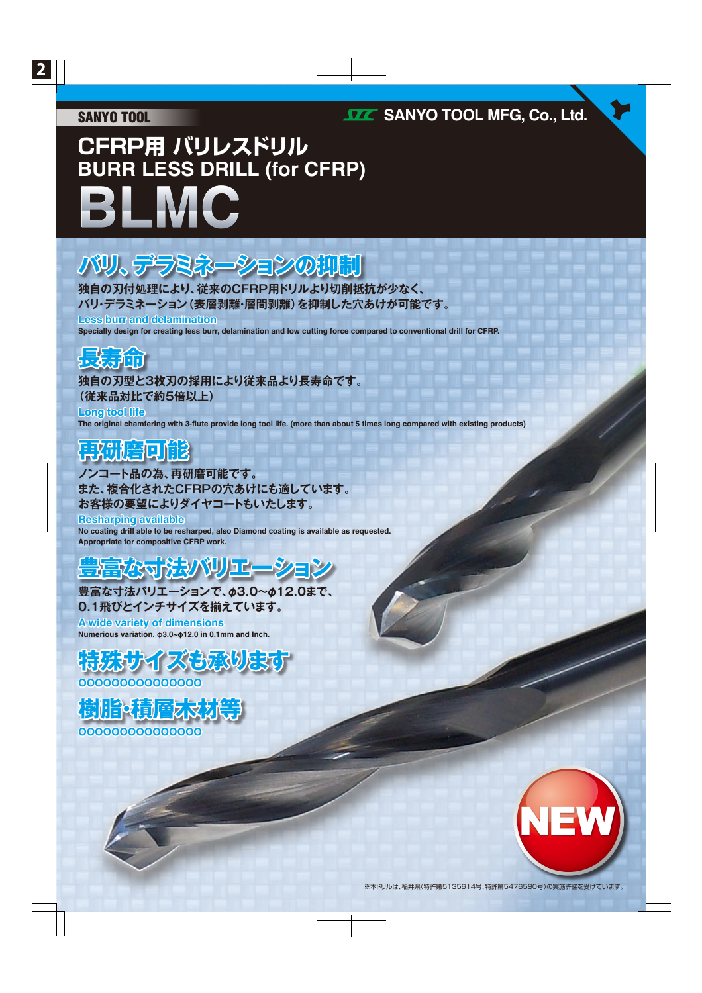#### SANYO TOOL

### **SANYO TOOL MFG, Co., Ltd.**

# **CFRP用 バリレスドリル BURR LESS DRILL (for CFRP) BLMC**

## **バリ、デラミネーションの抑制**

**独自の刃付処理により、従来のCFRP用ドリルより切削抵抗が少なく、 バリ・デラミネーション(表層剥離・層間剥離)を抑制した穴あけが可能です。**

**Less burr and delamination**

**Specially design for creating less burr, delamination and low cutting force compared to conventional drill for CFRP.**



**独自の刃型と3枚刃の採用により従来品より長寿命です。 (従来品対比で約5倍以上)**

**The original chamfering with 3-flute provide long tool life. (more than about 5 times long compared with existing products) Long tool life**

### **再研磨可能**

**ノンコート品の為、再研磨可能です。 また、複合化されたCFRPの穴あけにも適しています。 お客様の要望によりダイヤコートもいたします。**

**No coating drill able to be resharped, also Diamond coating is available as requested. Appropriate for compositive CFRP work. Resharping available**

### **マスマンス ストック アンストランス**

**豊富な寸法バリエーションで、φ3.0~φ12.0まで、 0.1飛びとインチサイズを揃えています。**

**Numerious variation, φ3.0~φ12.0 in 0.1mm and Inch. A wide variety of dimensions**



**OOOOOOOOOOOOOOO**